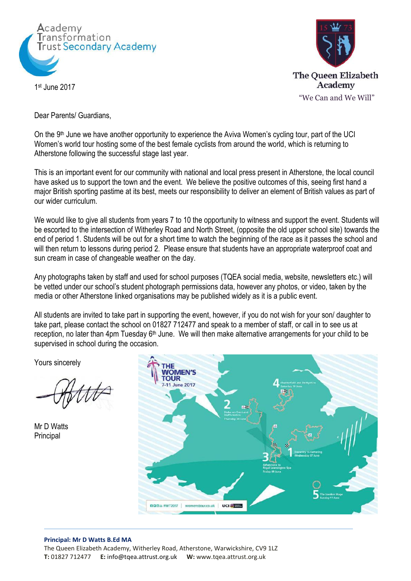

1 st June 2017



Dear Parents/ Guardians,

On the 9<sup>th</sup> June we have another opportunity to experience the Aviva Women's cycling tour, part of the UCI Women's world tour hosting some of the best female cyclists from around the world, which is returning to Atherstone following the successful stage last year.

This is an important event for our community with national and local press present in Atherstone, the local council have asked us to support the town and the event. We believe the positive outcomes of this, seeing first hand a major British sporting pastime at its best, meets our responsibility to deliver an element of British values as part of our wider curriculum.

We would like to give all students from years 7 to 10 the opportunity to witness and support the event. Students will be escorted to the intersection of Witherley Road and North Street, (opposite the old upper school site) towards the end of period 1. Students will be out for a short time to watch the beginning of the race as it passes the school and will then return to lessons during period 2. Please ensure that students have an appropriate waterproof coat and sun cream in case of changeable weather on the day.

Any photographs taken by staff and used for school purposes (TQEA social media, website, newsletters etc.) will be vetted under our school's student photograph permissions data, however any photos, or video, taken by the media or other Atherstone linked organisations may be published widely as it is a public event.

All students are invited to take part in supporting the event, however, if you do not wish for your son/ daughter to take part, please contact the school on 01827 712477 and speak to a member of staff, or call in to see us at reception, no later than 4pm Tuesday 6<sup>th</sup> June. We will then make alternative arrangements for your child to be supervised in school during the occasion.

Yours sincerely

Mr D Watts **Principal** 



## **Principal: Mr D Watts B.Ed MA**